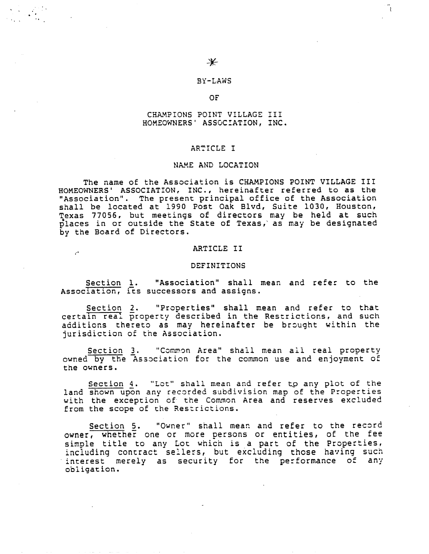Å.

## BY-LAWS

# OF

# CHAMPIONS POINT VILLAGE III HOMEOWNERS' ASSOCIATION, INC.

### ARTICLE I

### NAME AND LOCATION

The name of the Association is CHAMPIONS POINT VILLAGE III HOMEOWNERS' ASSOCIATION, INC., hereinafter referred to as the "Association". The present principal office of the Association shall be located at 1990 Post Oak Blvd, Suite 1030, Houston, Texas 77056, but meetings of directors may be held at such places in or outside the State of Texas, as may be designated by the Board of Directors.

#### ARTICLE II

 $\mathcal{P}^{\bullet}$ 

#### DEFINITIONS

Section i. "Association" shall mean and refer to the Association, its successors and assign:

Section 2. "Properties" shall mean and refer to that certain real property described in the Restrictions, and such additions thereto as may hereinafter be brought within the jurisdiction of the Association.

Section 3. "Common Area" shall mean all real property owned by the Association for the common use and enjoyment of the owners.

Section 4. "Lot" shall mean and refer to any plot of the land shown upon any recorded subdivision map of the Properties with the exception of the Common Area and reserves excluded from the scope of the Restrictions.

Section 5. "Owner" shall mean and refer to the record owner, whether one or more persons or entities, of the fee simple title to any Lot which is a part of the Properties, including contract sellers, but excluding those having such interest merely as security for the performance of any obligation.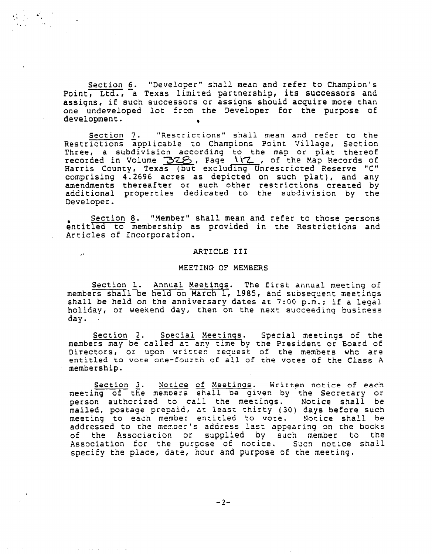Section 6. "Developer" shall mean and refer to Champion's Point, Ltd., a Texas limited partnership, its successors and assigns, if such successors or assigns should acquire more than one undeveloped lot from the Developer for the purpose of development.

 $\mathcal{L}^{\text{max}}_{\text{max}}$ 

 $\Delta\chi_{\rm{eff}}$ 

 $\mathcal{C}^{\bullet}$ 

Section 7. "Restrictions" shall mean and refer to the Restrictions applicable to Champions Point Village, Sectio Three, a subdivision according to the map or plat thereo recorded in Volume  $328$ , Page \\Z , of the MaD Records of Harris County, Texas (but excluding Unrestricted Reserve "C" comprising 4.2696 acres as depicted on such plat), and any amendments thereafter or such other restrictions created by additional properties dedicated to the subdivision by the Developer.

Section 8. "Member" shall mean and refer to those persons entitled to membership as provided in the Restrictions and Articles of Incorporation.

#### ARTICLE III

#### MEETING OF MEMBERS

Section 1. Annual Meetings. The first annual meeting of members shall be held on March i, 1985, and subsequent meetings shall be held on the anniversary dates at  $7:00$  p.m.; if a legal holiday, or weekend day, then on the next succeeding business day.

Section 2. Special Meetings. Special meetings of the members may be called at any time by the President or Board of Directors, or upon written request of the members who are entitled to vote one-fourth of all of the votes of the Class A membership.

Section 3. Notice of Meetings. Written notice of each meeting of the members shall be given by the Secretary or person authorized to call the meezings. Notice shall be mailed, postage prepaid, at least thirty (30) days before such meeting to each member entitled to vote. Notice shall be addressed to the member's address last appearing on the books of the Association or supplied by such member to the Association for the purpose of notice. Such notice shall specify the place, date, hour and purpose of the meeting.

 $-2-$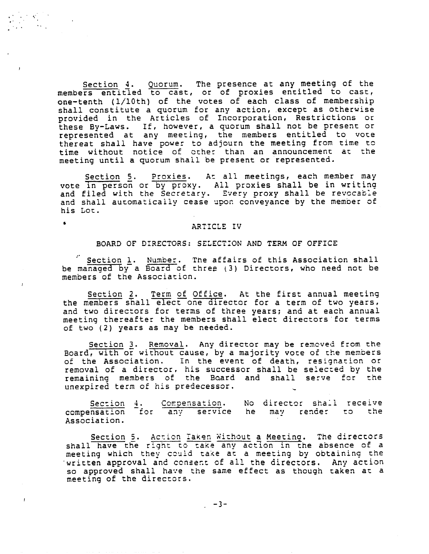Section 4. Quorum. The presence at any meeting of th members entitled to cast, or of proxies entitled to cast, one-tenth (i/10th) of the votes of each class of membership shall constitute a quorum for any action, except as otherwis provided in the Articles of Incorporation, Restrictions o these By-Laws. If, however, a quorum shall not be present or represented at any meeting, the members entitled to vote thereat shall have power to adjourn the meeting from time to time without notice of other than an announcement at th meeting until a quorum shall be present or represented.

Section 5. Proxies. At all meetings, each member may vote in person or by proxy. All proxies shall be in writing and filed with the Secretary. Every proxy shall be revocab and shall automatically cease upon conveyance by the member of his Lot.

# ARTICLE IV

 $\bullet$ 

### BOARD OF DIRECTORS: SELECT:ON AND TERM OF OFFICE

Section 1. Number. The affairs of this Association shall be managed by a Board of three (3) Directors, who need not be members of the Association.

Section 2. Term of Office. At the first annual meeting the members shall elect one director for a term of two years, and two directors for terms of three years; and at each annual meeting thereafter the members shall elect directors for terms of two (2) years as may be needed.

Section 3. Removal. Any director may be removed from the Board, with or without cause, by a majority vote of the members of the Association. in the event of death, resignation or removal of a director, his successor shall be selected by the remaining members of the Board and shall serve for the unexpired term of his predecessor.

Section 4. compensation for any service he may render to th Association. Compensation. No director sha'l receive

Section 5. Action Taken Without a Meeting. The directors shall have the right to take any action in the absence of a meeting which they could take at a meeting by obtaining the written approval and consent of all the directors. Any action so approved shall have the same effect as though taken at a meeting of the directors.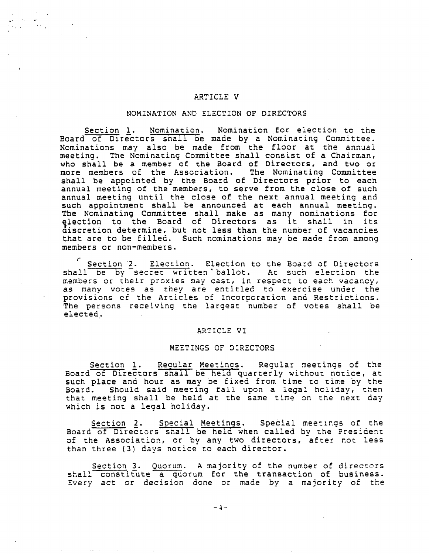# ARTICLE V

## NOMINATION AND ELECTION OF DIRECTORS

Section 1. Nomination. Nomination for election to the Board of Directors shall be made by a Nominating Committee. Nominations may also be made from the floor at the annual meeting. The Nominating Committee shall consist of a Chairman, who shall be a member of the Board of Directors, and two or more members of the Association. The Nominating Committee shall be appointed by the Board of Directors prior to each annual meeting of the members, to serve from the close of such annual meeting until the close of the next annual meeting and such appointment shall be announced at each annual meeting. The Nominating Committee shall make. as many nominations for election to the Board of Directors as it shall in it<br>discretion-determine, but not less than the number of vacancie discretion determine, but not less than the number of vacancies that are to be filled. Such nominations may be made from among members or non-members.

Section 2. Election. Election to the Board of Directors shall be by secret written ballot. At such election the members or their proxies may cast, in respect to each vacancy, as many votes as they are entitled to exercise under the provisions cf the Articles of Incorporation and Restrictions. The persons receiving the largest number of votes shall be elected.

#### ARTICLE Vl

## MEETINGS OF DIRECTORS

Section 1. Regular Meetings. Regular meetings of the Board of Directors shall be held quarterly without notice, at such place and hour as may be fixed from time to time by the Board. Should said meeting fall upon a legal hoiidav, then that meeting shall be held at the same time on the next day which is not a legal holiday.

Section 2. Special Meetings. Special meetings of the Board of Directors shall be held when called by the President of the Association, or by any two directors, after not less than three (3) days notice to each director.

Section 3. Quorum. A majority of the number of directors shall constitute a quorum for the transaction of business. Every act or decision done or made by a majority of the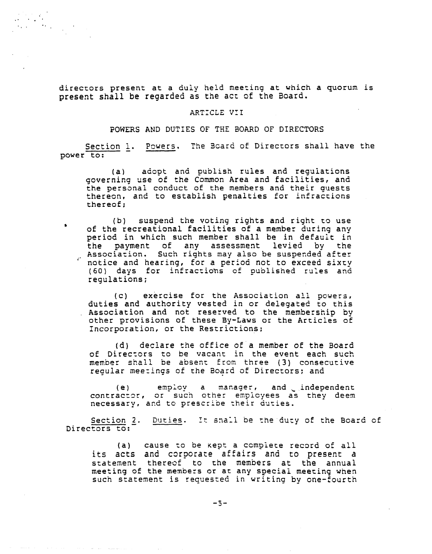directors present at a duly held meeting at which a quorum is present shall be regarded as the act of the Board.

# ARTICLE VII

# POWERS AND DUTIES OF THE BOARD OF DIRECTORS

Section 1. Powers. The Board of Directors shall have the power to:

(a) adopt and publish rules and regulations governing use of the Common Area and facilities, and the personal conduct of the members and their guest thereon, and to establish penalties for infractio thereof;

(b) suspend the voting rights and right to use of the recreational facilities of a member during any period in which such member shall be in default in the payment of any assessment levied by the Association. Such rights may also be suspended after notice and hearing, for a period not to exceed sixty (60) days for infractions of published rules and regulations;

(c) exercise for the Association all powers, duties and authority vested in or delegated to thi Association and not reserved to the membership by other provisions of these By-Laws or the Articles of Incorporation, or the Restrictions;

(d) declare the office of a member of the Board of Directors to be vacant in the event each such member shall be absent from three (3) consecutive regular meetings of the Board of Directors; and

(e) employ a manager, and independe contractor, or such other employees as they dee necessary, and to prescribe their duties.

<u>Section 2</u>. <u>Duties</u>. It snail be the duty of the Board of Directors to:

(a) cause to be kept a complete record of all its acts and corporate affairs and to present a statement thereof to the members at the annual meeting of the members or at any special meeting when such statement is requested in writing by one-fourth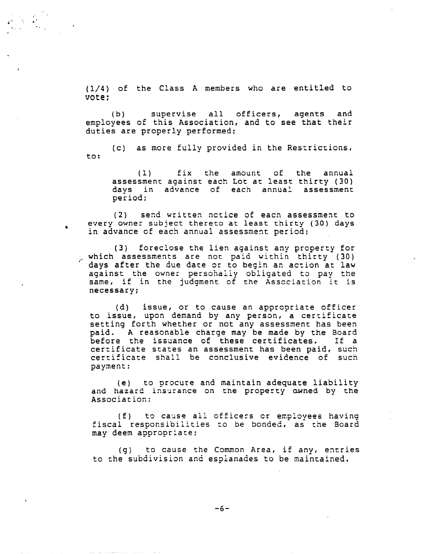(1/4) of the Class A members who are entitled vote;

(b) supervise all officers, agents and employees of this Association, and to see that their duties are properly performed;

(c) as more fully provided in the Restrictions, to:

(1) fix the amount of the annual assessment against each Lot at least thirty (30) days in advance of each annual assessment period;

 $(2)$  send written notice of each assessment to every owner subject thereto at least thirty (30) days in advance of each annual assessment period;

(3) foreclose the lien against any preperty for which assessments are not paid within thirty (30) days after the due date or to begin an action at law against the owner persohaiiy obligated to pay the same, if in the judgment of the Association it is necessary;

(d) issue, or to cause an appropriate offic to issue, upon demand by any person, a certifica setting forth whether or not any assessment has been paid. A reasonable charge may be made by the Boar before the issuance of these certificates. If a certificate states an assessment has been paid, such certificate shall be conclusive evidence of such payment;

(e) to procure and maintain adequate liability and hazard insurance on the property owned by the Association;

(f) to cause all officers or employees having fiscal responsibilities to be bonded, as the Board may deem appropriate;

(g) to cause the Common Area, if any, entries to the subdivision and esplanades to be maintained.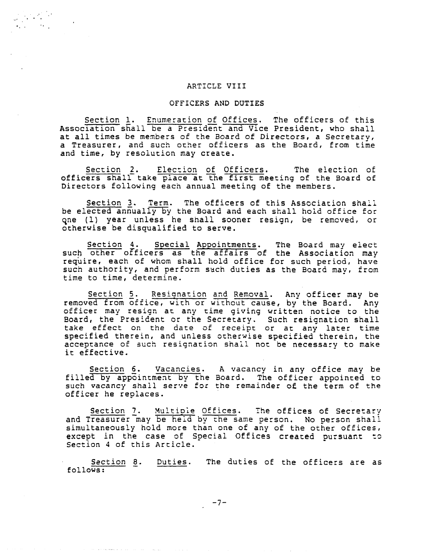# ARTICLE VIII

# OFFICERS AND DUTIES

Section i. Enumeration of Offices. The officers of this Association shall be a President and Vice President, who shall at all times be members of the Board of Directors, a Secretary, a Treasurer, and such ocher officers as the Board, from time and time, by resolution may create.

Section 2. Election of Officers. The election of officers shall take place at the first meeting of the Board of Directors following each annual meeting of the members.

Section 3. Term. The officers of this Association shall be elected annually by the Board and each shall hold office for qne (1) year unless he shall sooner resign, be removed, or otherwise be disqualified to serve.

Section 4. Special Appointments. The Board may elect such other officers as the affairs of the Association may require, each of whom shall hold office for such period, have such authority, and perform such duties as the Board may, from time to time, determine.

Section 5. Resignation and Removal. Any officer may be removed from office, with or without cause, by the Board. Any officer may resign at any time giving written notice to the Board, the President or the Secretary. Such resignation shall take effect on the date of receipt or at any later tim specified therein, and unless otherwise specified therein, the acceptance of such resignation shall not be necessary to make it effective.

Section 6. Vacancies. A vacancy in any office may be filled by appointment by the Board. The officer appointed to such vacancy shall serve for the remainder of the term of the officer he replaces.

Section 7. Multiple Offices. The offices of Secretary and Treasurer may be held by the same person. No person shall simultaneously hold more than one of any of the other offices, except in the case of Special Offices created pursuant to Section 4 of this Article.

Section 8. follows: Duties. The duties of the officers are as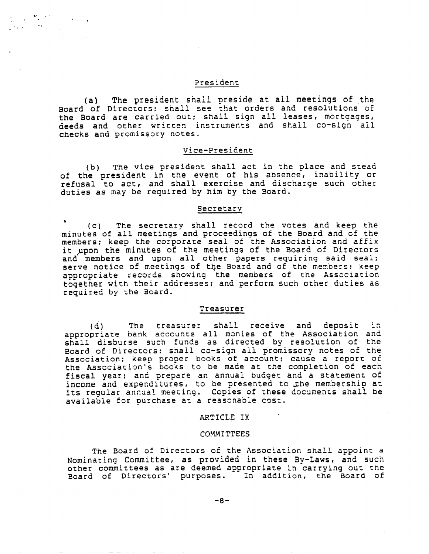## President

(a) The president shall preside at all meetings of the Board of Directors; shall see that orders and resolutions of the Board are carried out; shall sign all leases, mortgages, deeds and other written instruments and shall co-sign all checks and promissory notes.

# Vice-President

(b) The vice president shall act in the place and stead of the president in the event of his absence, inability or refusal to act, and shall exercise and discharge such other duties as may be required by him by the Board.

#### Secretary

(c) The secretary shall record the votes and keep the minutes of all meetings and proceedings of the Board and of the members; keep the corporate seal of the Association and affix it upon the minutes of the meetings of the Board of Directors and members and upon all other papers requiring said seal; serve notice of meetings of the Board and of the members; keep appropriate records showing the members of the Association together with their addresses; and perform such other duties as required by the Board.

### Treasurer

(d) The treasurer shall receive and deposit in appropriate bank accounts all monies of the Association and shall disburse such funds as directed by resolution of the Board of Directors: shall co-sign all promissory notes of the Association; Keep proper books of account; cause a report of the Association's books to be made at the completion of eac fiscal year; and prepare an annual budget and a statement of income and expenditures, to be presented to the membership at its regular annual meeting. Copies of these documents shall be available for purchase at a reasonable cost.

## ARTICLE IX

#### COMMITTEES

The Board of Directors of the Association shall appoint a Nominating Committee, as provided in these By-Laws, and such other committees as are deemed appropriate in carrying out the Board of Directors' purposes. In addition, the Board of

**-8-**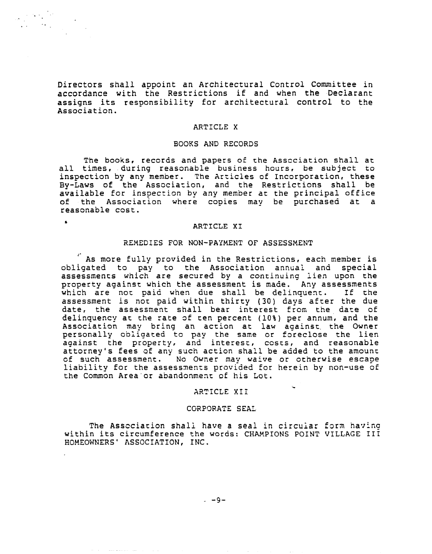Directors shall appoint an Architectural Control Committee in accordance with the Restrictions if and when the Deciarant assigns its responsibility for architectural control to the Association.

#### ARTICLE X

### BOOKS AND RECORDS

The books, records and papers of the Association shall at all times, during reasonable business hours, be subject to inspection by any member. The Articles of Incorporation, these By-Laws of the Association, and the Restrictions shall be available for inspection by any member at the principal office of the Association where copies may be purchased at a reasonable cost.

## ARTICLE XI

### REMEDIES FOR NON-PAYMENT OF ASSESSMENT

As more fully provided in the Restrictions, each member is obligated to pay to the Association annual and special assessments which are secured by a continuing lien upon the property against which the assessment is made. Any assessmen which are not paid when due shall be delinquent. If th assessment is not paid within thirty (30) days after the due date, the assessment shall bear interest from the date of delinquency at the rate of ten percent (10%) per annum, and the Association may bring an action at law against, the Owner personally obligated to pay the same or foreclose the lie against the property, and interest, costs, and reasona attorney's fees of any such action shall be added to the amount of such assessment. No Owner may waive or otherwise escape liability for the assessments provided for herein by non-use of the Common Area or abandonment of his Lot.

#### ARTICLE Xli

#### CORPORATE SEAL

The Association shall have a seal in circular form having within its circumference the words: CHAMPIONS POINT VILLAGE IIi HOMEOWNERS' ASSOCIATION, INC.

**-9-**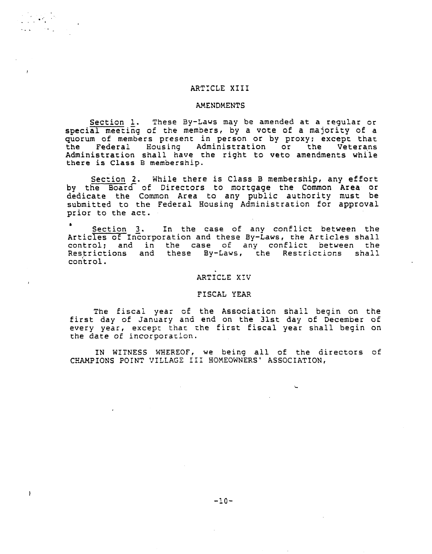## ARTICLE XIII

 $\label{eq:2} \frac{1}{2} \sum_{i=1}^n \frac{1}{2} \sum_{i=1}^n \frac{1}{2} \left( \frac{1}{2} \sum_{i=1}^n \frac{1}{2} \sum_{i=1}^n \frac{1}{2} \right)$ 

 $\overline{1}$ 

#### AMENDMENTS

Section 1. These By-Laws may be amended at a regular or special meeting of the members, by a vote of a majority of a quorum of members present in person or by proxy; except that the Federal Housing Administration or the Veterans Administration shall have the right to veto amendments while there is Class B membership.

Section 2. While there is Class B membership, any effort by the Board of Directors to mortgage the Common Area or dedicate the Common Area to any public authority must be submitted to the Federal Housing Administration for approva prior to the act.

Section 3. In the case of any conflict between the Articles of Incorporation and these By-Laws, the Articles shall control; and in the case of any conflict between the Restrictions and these By-Laws, the Restrictions shall control.

## ARTICLE X!V

## FISCAL YEAR

The fiscal year of the Association shall begin on the first day of January and end on the 31st day of December of every year, except that zhe first fiscal year shall begin on the date of incorporation.

IN WITNESS WHEREOF, we being all of the directors of CHAMPIONS POINT VILLAGE III HOMEOWNERS' ASSOCIATION,